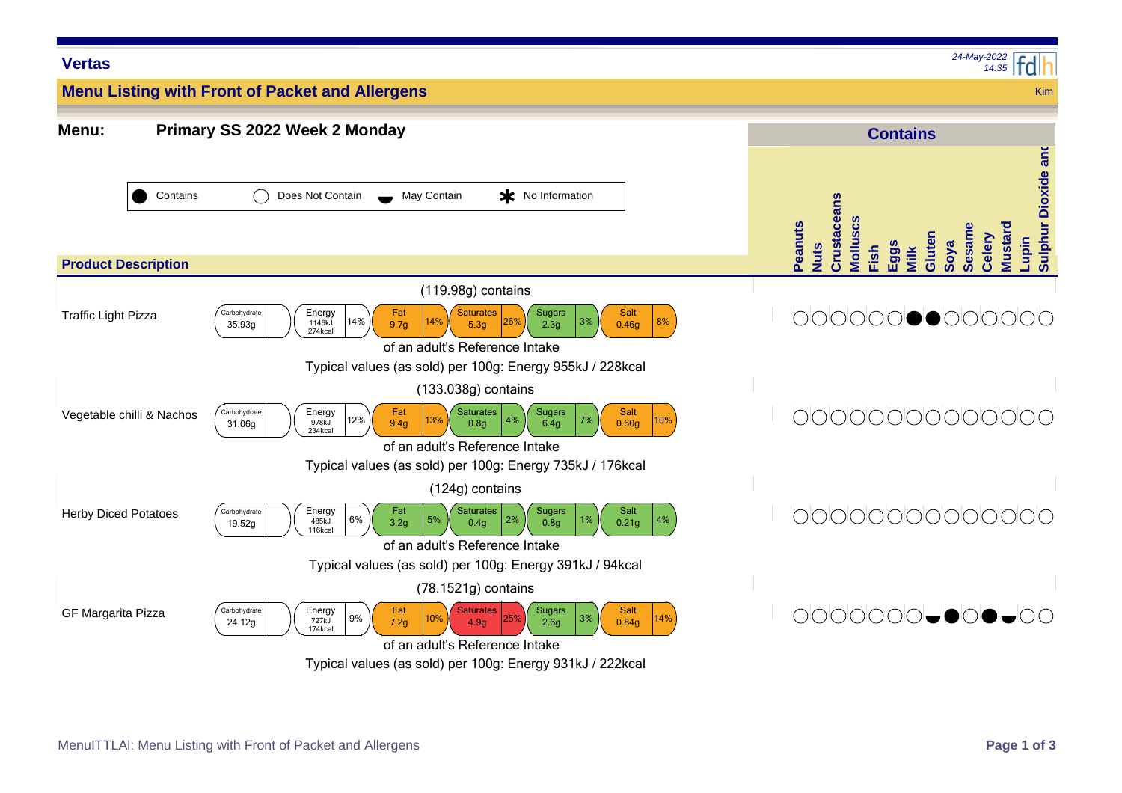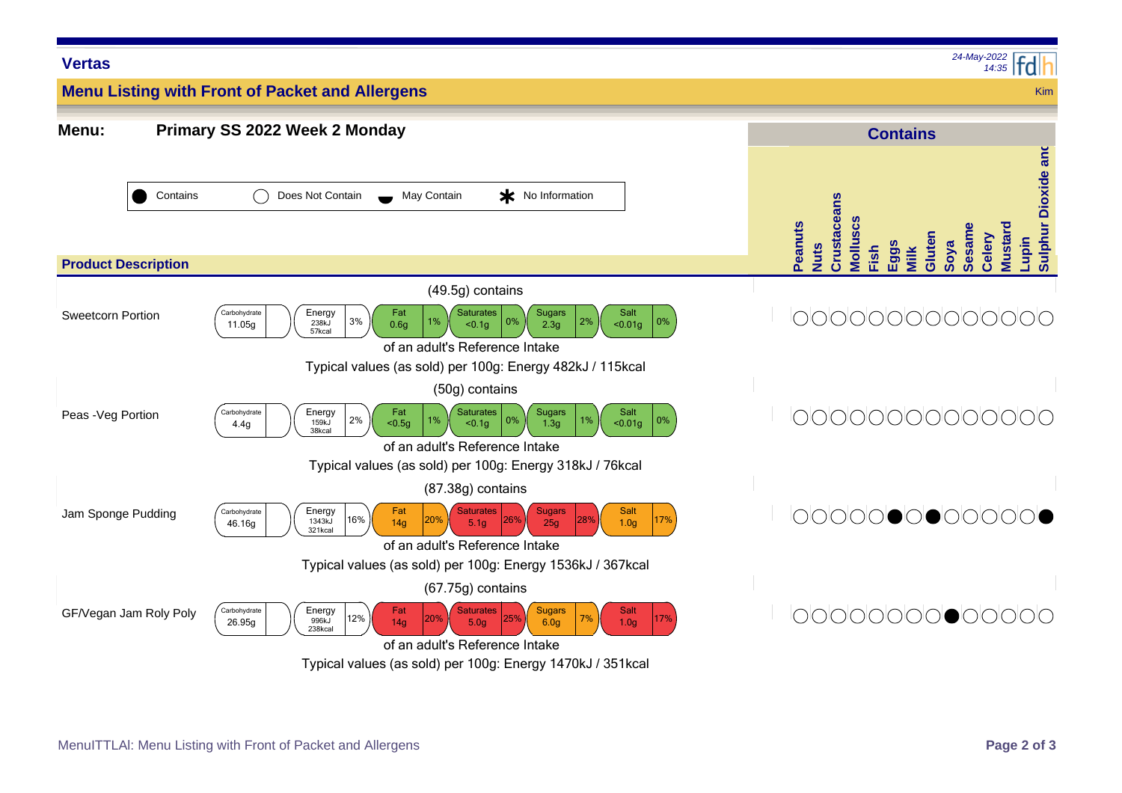